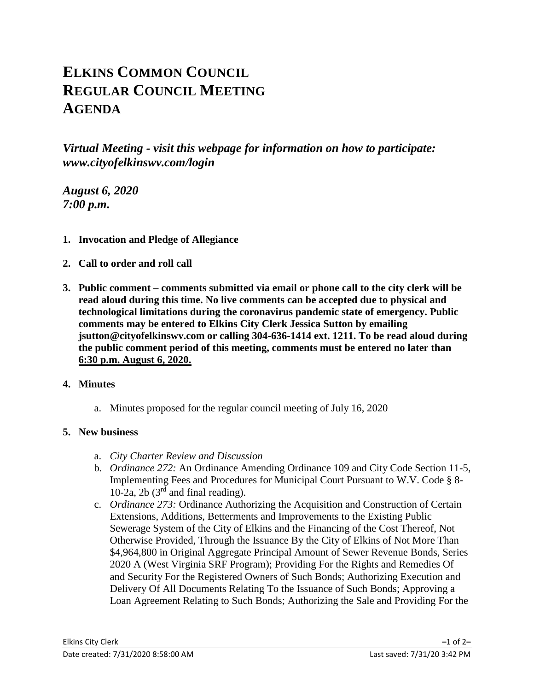# **ELKINS COMMON COUNCIL REGULAR COUNCIL MEETING AGENDA**

*Virtual Meeting - visit this webpage for information on how to participate: www.cityofelkinswv.com/login*

*August 6, 2020 7:00 p.m.*

- **1. Invocation and Pledge of Allegiance**
- **2. Call to order and roll call**
- **3. Public comment – comments submitted via email or phone call to the city clerk will be read aloud during this time. No live comments can be accepted due to physical and technological limitations during the coronavirus pandemic state of emergency. Public comments may be entered to Elkins City Clerk Jessica Sutton by emailing jsutton@cityofelkinswv.com or calling 304-636-1414 ext. 1211. To be read aloud during the public comment period of this meeting, comments must be entered no later than 6:30 p.m. August 6, 2020.**

### **4. Minutes**

a. Minutes proposed for the regular council meeting of July 16, 2020

### **5. New business**

- a. *City Charter Review and Discussion*
- b. *Ordinance 272:* An Ordinance Amending Ordinance 109 and City Code Section 11-5, Implementing Fees and Procedures for Municipal Court Pursuant to W.V. Code § 8- 10-2a, 2b  $(3<sup>rd</sup>$  and final reading).
- c. *Ordinance 273:* Ordinance Authorizing the Acquisition and Construction of Certain Extensions, Additions, Betterments and Improvements to the Existing Public Sewerage System of the City of Elkins and the Financing of the Cost Thereof, Not Otherwise Provided, Through the Issuance By the City of Elkins of Not More Than \$4,964,800 in Original Aggregate Principal Amount of Sewer Revenue Bonds, Series 2020 A (West Virginia SRF Program); Providing For the Rights and Remedies Of and Security For the Registered Owners of Such Bonds; Authorizing Execution and Delivery Of All Documents Relating To the Issuance of Such Bonds; Approving a Loan Agreement Relating to Such Bonds; Authorizing the Sale and Providing For the